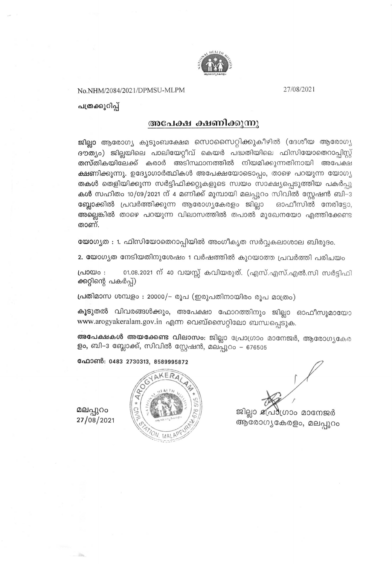

No.NHM/2084/2021/DPMSU-MLPM

27/08/2021

പത്രക്കുറിപ്പ്

### അപേക്ഷ ക്ഷണിക്കുന്നു

ജില്ലാ ആരോഗ്യ കുടുംബക്ഷേമ സൊസൈറ്റിക്കുകീഴിൽ (ദേശീയ ആരോഗ്യ ദൗത്യം) ജില്ലയിലെ പാലിയേറ്റീവ് കെയർ പദ്ധതിയിലെ ഫിസിയോതെറാപ്പിസ്റ്റ് <mark>തസ്തികയിലേക്ക് ക</mark>രാർ അടിസ്ഥാനത്തിൽ നിയമിക്കുന്നതിനായി അപേക്ഷ **ക്ഷണിക്കുന്നു.** ഉദ്യോഗാർത്ഥികൾ അപേക്ഷയോടൊപ്പം, താഴെ പറയുന്ന യോഗ്യ തകൾ തെളിയിക്കുന്ന സർട്ടിഫിക്കറ്റുകളുടെ സ്വയം സാക്ഷ്യപ്പെടുത്തിയ പകർപ്പു കൾ സഹിതം 10/09/2021 ന് 4 മണിക്ക് മുമ്പായി മലപ്പുറം സിവിൽ സ്റ്റേഷൻ ബി–3 ബ്ലോക്കിൽ പ്രവർത്തിക്കുന്ന ആരോഗ്യകേരളം ജില്ലാ ഓഫീസിൽ നേരിട്ടോ, അല്ലെങ്കിൽ താഴെ പറയുന്ന വിലാസത്തിൽ തപാൽ മുഖേനയോ എത്തിക്കേണ്ട താണ്.

യോഗ്യത : 1. ഫിസിയോതെറാപ്പിയിൽ അംഗീകൃത സർവ്വകലാശാല ബിരുദം.

2. യോഗ്യത നേടിയതിനുശേഷം 1 വർഷത്തിൽ കുറയാത്ത പ്രവർത്തി പരിചയം

പ്രായം: 01.08.2021 ന് 40 വയസ്സ് കവിയരുത്. (എസ്.എസ്.എൽ.സി സർട്ടിഫി ക്കറ്റിന്റെ പകർപ്പ്)

പ്രതിമാസ ശമ്പളം : 20000/- രൂപ (ഇരുപതിനായിരം രൂപ മാത്രം)

കൂടുതൽ വിവരങ്ങൾക്കും, അപേക്ഷാ ഫോറത്തിനും ജില്ലാ ഓഫീസുമായോ www.arogyakeralam.gov.in എന്ന വെബ്സൈറ്റിലോ ബന്ധപ്പെടുക.

അപേക്ഷകൾ അയക്കേണ്ട വിലാസം: ജില്ലാ പ്രോഗ്രാം മാനേജർ, ആരോഗ്യകേര ളം, ബി–3 ബ്ലോക്ക്, സിവിൽ സ്റ്റേഷൻ, മലപ്പുറം – 676505

ഫോൺ: 0483 2730313, 8589995872



ജില്ലാ ക്ഷ്രീഗ്രാം മാനേജർ ആരോഗ്യകേരളം, മലപ്പുറം

മലപ്പുറം 27/08/2021